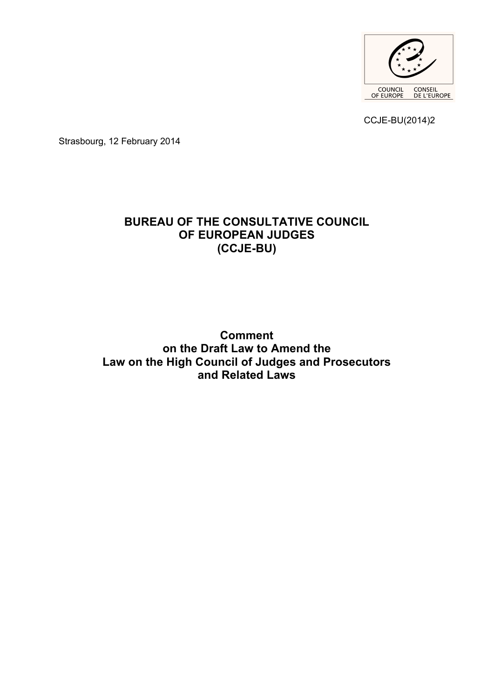

CCJE-BU(2014)2

Strasbourg, 12 February 2014

# **BUREAU OF THE CONSULTATIVE COUNCIL OF EUROPEAN JUDGES (CCJE-BU)**

**Comment on the Draft Law to Amend the Law on the High Council of Judges and Prosecutors and Related Laws**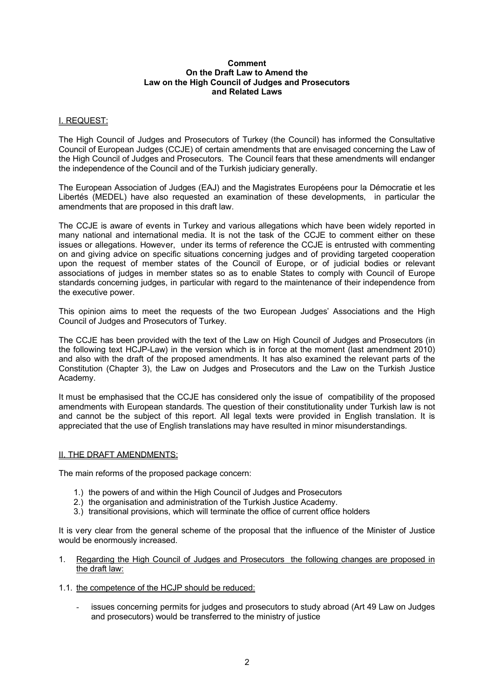#### **Comment On the Draft Law to Amend the Law on the High Council of Judges and Prosecutors and Related Laws**

## I. REQUEST:

The High Council of Judges and Prosecutors of Turkey (the Council) has informed the Consultative Council of European Judges (CCJE) of certain amendments that are envisaged concerning the Law of the High Council of Judges and Prosecutors. The Council fears that these amendments will endanger the independence of the Council and of the Turkish judiciary generally.

The European Association of Judges (EAJ) and the Magistrates Européens pour la Démocratie et les Libertés (MEDEL) have also requested an examination of these developments, in particular the amendments that are proposed in this draft law.

The CCJE is aware of events in Turkey and various allegations which have been widely reported in many national and international media. It is not the task of the CCJE to comment either on these issues or allegations. However, under its terms of reference the CCJE is entrusted with commenting on and giving advice on specific situations concerning judges and of providing targeted cooperation upon the request of member states of the Council of Europe, or of judicial bodies or relevant associations of judges in member states so as to enable States to comply with Council of Europe standards concerning judges, in particular with regard to the maintenance of their independence from the executive power.

This opinion aims to meet the requests of the two European Judges' Associations and the High Council of Judges and Prosecutors of Turkey.

The CCJE has been provided with the text of the Law on High Council of Judges and Prosecutors (in the following text HCJP-Law) in the version which is in force at the moment (last amendment 2010) and also with the draft of the proposed amendments. It has also examined the relevant parts of the Constitution (Chapter 3), the Law on Judges and Prosecutors and the Law on the Turkish Justice Academy.

It must be emphasised that the CCJE has considered only the issue of compatibility of the proposed amendments with European standards. The question of their constitutionality under Turkish law is not and cannot be the subject of this report. All legal texts were provided in English translation. It is appreciated that the use of English translations may have resulted in minor misunderstandings.

#### II. THE DRAFT AMENDMENTS:

The main reforms of the proposed package concern:

- 1.) the powers of and within the High Council of Judges and Prosecutors
- 2.) the organisation and administration of the Turkish Justice Academy.
- 3.) transitional provisions, which will terminate the office of current office holders

It is very clear from the general scheme of the proposal that the influence of the Minister of Justice would be enormously increased.

- 1. Regarding the High Council of Judges and Prosecutors the following changes are proposed in the draft law:
- 1.1. the competence of the HCJP should be reduced:
	- issues concerning permits for judges and prosecutors to study abroad (Art 49 Law on Judges and prosecutors) would be transferred to the ministry of justice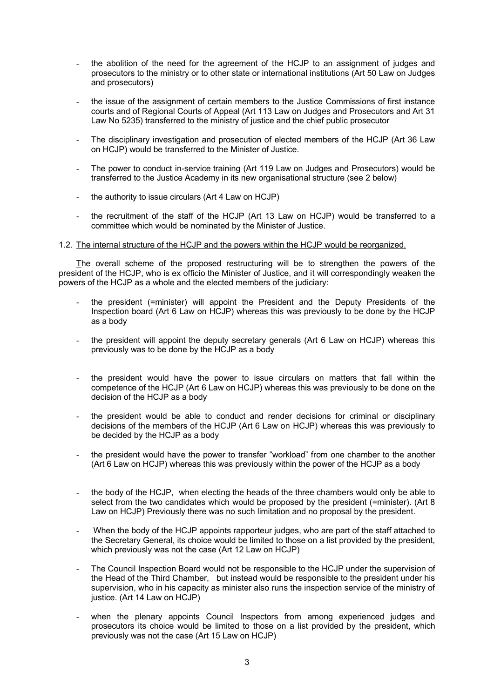- the abolition of the need for the agreement of the HCJP to an assignment of judges and prosecutors to the ministry or to other state or international institutions (Art 50 Law on Judges and prosecutors)
- the issue of the assignment of certain members to the Justice Commissions of first instance courts and of Regional Courts of Appeal (Art 113 Law on Judges and Prosecutors and Art 31 Law No 5235) transferred to the ministry of justice and the chief public prosecutor
- The disciplinary investigation and prosecution of elected members of the HCJP (Art 36 Law on HCJP) would be transferred to the Minister of Justice.
- The power to conduct in-service training (Art 119 Law on Judges and Prosecutors) would be transferred to the Justice Academy in its new organisational structure (see 2 below)
- the authority to issue circulars (Art 4 Law on HCJP)
- the recruitment of the staff of the HCJP (Art 13 Law on HCJP) would be transferred to a committee which would be nominated by the Minister of Justice.

## 1.2. The internal structure of the HCJP and the powers within the HCJP would be reorganized.

The overall scheme of the proposed restructuring will be to strengthen the powers of the president of the HCJP, who is ex officio the Minister of Justice, and it will correspondingly weaken the powers of the HCJP as a whole and the elected members of the judiciary:

- the president (=minister) will appoint the President and the Deputy Presidents of the Inspection board (Art 6 Law on HCJP) whereas this was previously to be done by the HCJP as a body
- the president will appoint the deputy secretary generals (Art 6 Law on HCJP) whereas this previously was to be done by the HCJP as a body
- the president would have the power to issue circulars on matters that fall within the competence of the HCJP (Art 6 Law on HCJP) whereas this was previously to be done on the decision of the HCJP as a body
- the president would be able to conduct and render decisions for criminal or disciplinary decisions of the members of the HCJP (Art 6 Law on HCJP) whereas this was previously to be decided by the HCJP as a body
- the president would have the power to transfer "workload" from one chamber to the another (Art 6 Law on HCJP) whereas this was previously within the power of the HCJP as a body
- the body of the HCJP, when electing the heads of the three chambers would only be able to select from the two candidates which would be proposed by the president (=minister). (Art 8 Law on HCJP) Previously there was no such limitation and no proposal by the president.
- When the body of the HCJP appoints rapporteur judges, who are part of the staff attached to the Secretary General, its choice would be limited to those on a list provided by the president, which previously was not the case (Art 12 Law on HCJP)
- The Council Inspection Board would not be responsible to the HCJP under the supervision of the Head of the Third Chamber, but instead would be responsible to the president under his supervision, who in his capacity as minister also runs the inspection service of the ministry of justice. (Art 14 Law on HCJP)
- when the plenary appoints Council Inspectors from among experienced judges and prosecutors its choice would be limited to those on a list provided by the president, which previously was not the case (Art 15 Law on HCJP)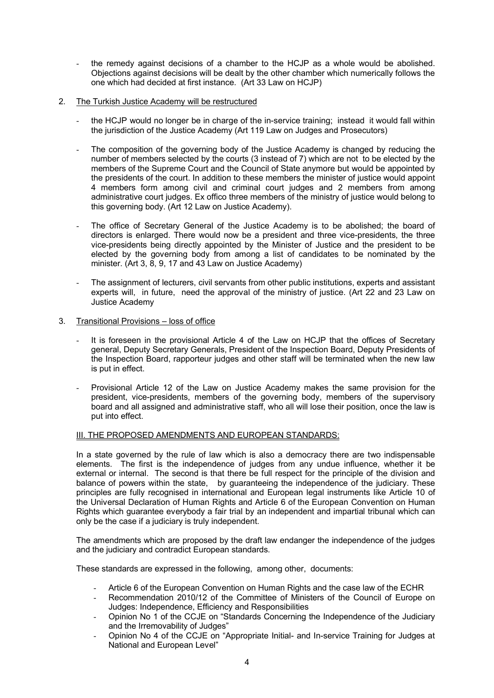- the remedy against decisions of a chamber to the HCJP as a whole would be abolished. Objections against decisions will be dealt by the other chamber which numerically follows the one which had decided at first instance. (Art 33 Law on HCJP)
- 2. The Turkish Justice Academy will be restructured
	- the HCJP would no longer be in charge of the in-service training; instead it would fall within the jurisdiction of the Justice Academy (Art 119 Law on Judges and Prosecutors)
	- The composition of the governing body of the Justice Academy is changed by reducing the number of members selected by the courts (3 instead of 7) which are not to be elected by the members of the Supreme Court and the Council of State anymore but would be appointed by the presidents of the court. In addition to these members the minister of justice would appoint 4 members form among civil and criminal court judges and 2 members from among administrative court judges. Ex offico three members of the ministry of justice would belong to this governing body. (Art 12 Law on Justice Academy).
	- The office of Secretary General of the Justice Academy is to be abolished; the board of directors is enlarged. There would now be a president and three vice-presidents, the three vice-presidents being directly appointed by the Minister of Justice and the president to be elected by the governing body from among a list of candidates to be nominated by the minister. (Art 3, 8, 9, 17 and 43 Law on Justice Academy)
	- The assignment of lecturers, civil servants from other public institutions, experts and assistant experts will, in future, need the approval of the ministry of justice. (Art 22 and 23 Law on Justice Academy
- 3. Transitional Provisions loss of office
	- It is foreseen in the provisional Article 4 of the Law on HCJP that the offices of Secretary general, Deputy Secretary Generals, President of the Inspection Board, Deputy Presidents of the Inspection Board, rapporteur judges and other staff will be terminated when the new law is put in effect.
	- Provisional Article 12 of the Law on Justice Academy makes the same provision for the president, vice-presidents, members of the governing body, members of the supervisory board and all assigned and administrative staff, who all will lose their position, once the law is put into effect.

## III. THE PROPOSED AMENDMENTS AND EUROPEAN STANDARDS:

In a state governed by the rule of law which is also a democracy there are two indispensable elements. The first is the independence of judges from any undue influence, whether it be external or internal. The second is that there be full respect for the principle of the division and balance of powers within the state, by guaranteeing the independence of the judiciary. These principles are fully recognised in international and European legal instruments like Article 10 of the Universal Declaration of Human Rights and Article 6 of the European Convention on Human Rights which guarantee everybody a fair trial by an independent and impartial tribunal which can only be the case if a judiciary is truly independent.

The amendments which are proposed by the draft law endanger the independence of the judges and the judiciary and contradict European standards.

These standards are expressed in the following, among other, documents:

- Article 6 of the European Convention on Human Rights and the case law of the ECHR
- Recommendation 2010/12 of the Committee of Ministers of the Council of Europe on Judges: Independence, Efficiency and Responsibilities
- Opinion No 1 of the CCJE on "Standards Concerning the Independence of the Judiciary and the Irremovability of Judges"
- Opinion No 4 of the CCJE on "Appropriate Initial- and In-service Training for Judges at National and European Level"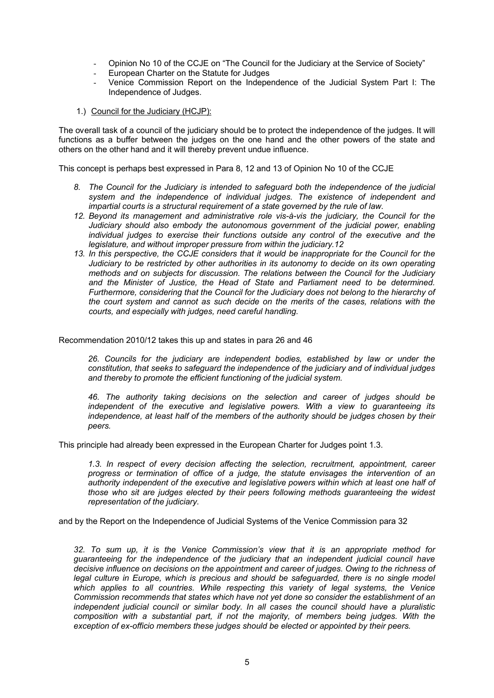- Opinion No 10 of the CCJE on "The Council for the Judiciary at the Service of Society"
- European Charter on the Statute for Judges
- Venice Commission Report on the Independence of the Judicial System Part I: The Independence of Judges.
- 1.) Council for the Judiciary (HCJP):

The overall task of a council of the judiciary should be to protect the independence of the judges. It will functions as a buffer between the judges on the one hand and the other powers of the state and others on the other hand and it will thereby prevent undue influence.

This concept is perhaps best expressed in Para 8, 12 and 13 of Opinion No 10 of the CCJE

- *8. The Council for the Judiciary is intended to safeguard both the independence of the judicial system and the independence of individual judges. The existence of independent and impartial courts is a structural requirement of a state governed by the rule of law.*
- *12. Beyond its management and administrative role vis-à-vis the judiciary, the Council for the Judiciary should also embody the autonomous government of the judicial power, enabling individual judges to exercise their functions outside any control of the executive and the legislature, and without improper pressure from within the judiciary.12*
- *13. In this perspective, the CCJE considers that it would be inappropriate for the Council for the Judiciary to be restricted by other authorities in its autonomy to decide on its own operating methods and on subjects for discussion. The relations between the Council for the Judiciary and the Minister of Justice, the Head of State and Parliament need to be determined. Furthermore, considering that the Council for the Judiciary does not belong to the hierarchy of the court system and cannot as such decide on the merits of the cases, relations with the courts, and especially with judges, need careful handling.*

Recommendation 2010/12 takes this up and states in para 26 and 46

*26. Councils for the judiciary are independent bodies, established by law or under the constitution, that seeks to safeguard the independence of the judiciary and of individual judges and thereby to promote the efficient functioning of the judicial system.*

*46. The authority taking decisions on the selection and career of judges should be independent of the executive and legislative powers. With a view to guaranteeing its independence, at least half of the members of the authority should be judges chosen by their peers.*

This principle had already been expressed in the European Charter for Judges point 1.3.

*1.3. In respect of every decision affecting the selection, recruitment, appointment, career progress or termination of office of a judge, the statute envisages the intervention of an authority independent of the executive and legislative powers within which at least one half of those who sit are judges elected by their peers following methods guaranteeing the widest representation of the judiciary.*

and by the Report on the Independence of Judicial Systems of the Venice Commission para 32

*32. To sum up, it is the Venice Commission's view that it is an appropriate method for guaranteeing for the independence of the judiciary that an independent judicial council have decisive influence on decisions on the appointment and career of judges. Owing to the richness of*  legal culture in Europe, which is precious and should be safeguarded, there is no single model which applies to all countries. While respecting this variety of legal systems, the Venice *Commission recommends that states which have not yet done so consider the establishment of an independent judicial council or similar body. In all cases the council should have a pluralistic composition with a substantial part, if not the majority, of members being judges. With the exception of ex-officio members these judges should be elected or appointed by their peers.*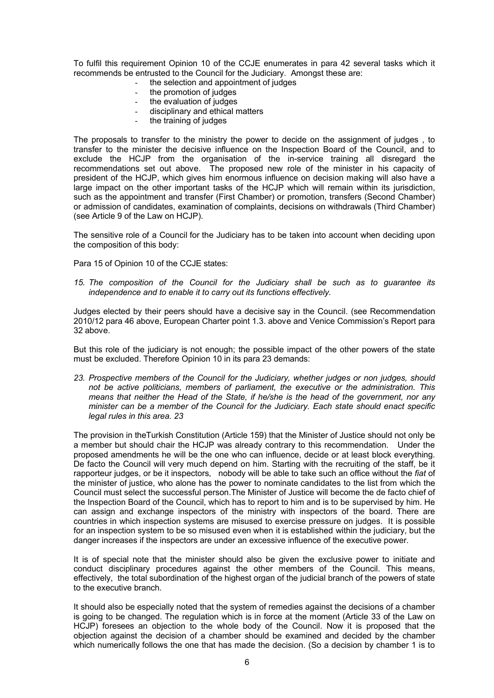To fulfil this requirement Opinion 10 of the CCJE enumerates in para 42 several tasks which it recommends be entrusted to the Council for the Judiciary. Amongst these are:

- the selection and appointment of judges
- the promotion of judges
- the evaluation of judges
- disciplinary and ethical matters
- the training of judges

The proposals to transfer to the ministry the power to decide on the assignment of judges , to transfer to the minister the decisive influence on the Inspection Board of the Council, and to exclude the HCJP from the organisation of the in-service training all disregard the recommendations set out above. The proposed new role of the minister in his capacity of president of the HCJP, which gives him enormous influence on decision making will also have a large impact on the other important tasks of the HCJP which will remain within its jurisdiction, such as the appointment and transfer (First Chamber) or promotion, transfers (Second Chamber) or admission of candidates, examination of complaints, decisions on withdrawals (Third Chamber) (see Article 9 of the Law on HCJP).

The sensitive role of a Council for the Judiciary has to be taken into account when deciding upon the composition of this body:

Para 15 of Opinion 10 of the CCJE states:

*15. The composition of the Council for the Judiciary shall be such as to guarantee its independence and to enable it to carry out its functions effectively.*

Judges elected by their peers should have a decisive say in the Council. (see Recommendation 2010/12 para 46 above, European Charter point 1.3. above and Venice Commission's Report para 32 above.

But this role of the judiciary is not enough; the possible impact of the other powers of the state must be excluded. Therefore Opinion 10 in its para 23 demands:

*23. Prospective members of the Council for the Judiciary, whether judges or non judges, should not be active politicians, members of parliament, the executive or the administration. This means that neither the Head of the State, if he/she is the head of the government, nor any minister can be a member of the Council for the Judiciary. Each state should enact specific legal rules in this area. 23*

The provision in theTurkish Constitution (Article 159) that the Minister of Justice should not only be a member but should chair the HCJP was already contrary to this recommendation. Under the proposed amendments he will be the one who can influence, decide or at least block everything. De facto the Council will very much depend on him. Starting with the recruiting of the staff, be it rapporteur judges, or be it inspectors, nobody will be able to take such an office without the *fiat* of the minister of justice, who alone has the power to nominate candidates to the list from which the Council must select the successful person.The Minister of Justice will become the de facto chief of the Inspection Board of the Council, which has to report to him and is to be supervised by him. He can assign and exchange inspectors of the ministry with inspectors of the board. There are countries in which inspection systems are misused to exercise pressure on judges. It is possible for an inspection system to be so misused even when it is established within the judiciary, but the danger increases if the inspectors are under an excessive influence of the executive power.

It is of special note that the minister should also be given the exclusive power to initiate and conduct disciplinary procedures against the other members of the Council. This means, effectively, the total subordination of the highest organ of the judicial branch of the powers of state to the executive branch.

It should also be especially noted that the system of remedies against the decisions of a chamber is going to be changed. The regulation which is in force at the moment (Article 33 of the Law on HCJP) foresees an objection to the whole body of the Council. Now it is proposed that the objection against the decision of a chamber should be examined and decided by the chamber which numerically follows the one that has made the decision. (So a decision by chamber 1 is to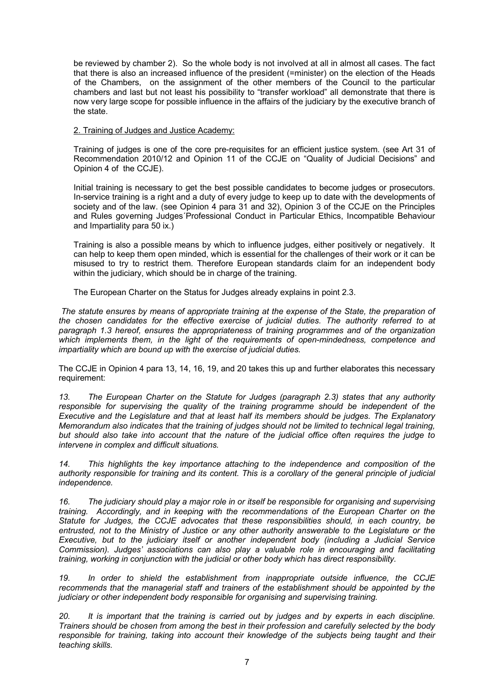be reviewed by chamber 2). So the whole body is not involved at all in almost all cases. The fact that there is also an increased influence of the president (=minister) on the election of the Heads of the Chambers, on the assignment of the other members of the Council to the particular chambers and last but not least his possibility to "transfer workload" all demonstrate that there is now very large scope for possible influence in the affairs of the judiciary by the executive branch of the state.

## 2. Training of Judges and Justice Academy:

Training of judges is one of the core pre-requisites for an efficient justice system. (see Art 31 of Recommendation 2010/12 and Opinion 11 of the CCJE on "Quality of Judicial Decisions" and Opinion 4 of the CCJE).

Initial training is necessary to get the best possible candidates to become judges or prosecutors. In-service training is a right and a duty of every judge to keep up to date with the developments of society and of the law. (see Opinion 4 para 31 and 32), Opinion 3 of the CCJE on the Principles and Rules governing Judges´Professional Conduct in Particular Ethics, Incompatible Behaviour and Impartiality para 50 ix.)

Training is also a possible means by which to influence judges, either positively or negatively. It can help to keep them open minded, which is essential for the challenges of their work or it can be misused to try to restrict them. Therefore European standards claim for an independent body within the judiciary, which should be in charge of the training.

The European Charter on the Status for Judges already explains in point 2.3.

*The statute ensures by means of appropriate training at the expense of the State, the preparation of the chosen candidates for the effective exercise of judicial duties. The authority referred to at paragraph 1.3 hereof, ensures the appropriateness of training programmes and of the organization which implements them, in the light of the requirements of open-mindedness, competence and impartiality which are bound up with the exercise of judicial duties.*

The CCJE in Opinion 4 para 13, 14, 16, 19, and 20 takes this up and further elaborates this necessary requirement:

*13. The European Charter on the Statute for Judges (paragraph 2.3) states that any authority responsible for supervising the quality of the training programme should be independent of the Executive and the Legislature and that at least half its members should be judges. The Explanatory Memorandum also indicates that the training of judges should not be limited to technical legal training, but should also take into account that the nature of the judicial office often requires the judge to intervene in complex and difficult situations.*

*14. This highlights the key importance attaching to the independence and composition of the authority responsible for training and its content. This is a corollary of the general principle of judicial independence.*

*16. The judiciary should play a major role in or itself be responsible for organising and supervising training. Accordingly, and in keeping with the recommendations of the European Charter on the Statute for Judges, the CCJE advocates that these responsibilities should, in each country, be entrusted, not to the Ministry of Justice or any other authority answerable to the Legislature or the Executive, but to the judiciary itself or another independent body (including a Judicial Service Commission). Judges' associations can also play a valuable role in encouraging and facilitating training, working in conjunction with the judicial or other body which has direct responsibility.*

*19. In order to shield the establishment from inappropriate outside influence, the CCJE recommends that the managerial staff and trainers of the establishment should be appointed by the judiciary or other independent body responsible for organising and supervising training.* 

*20. It is important that the training is carried out by judges and by experts in each discipline. Trainers should be chosen from among the best in their profession and carefully selected by the body responsible for training, taking into account their knowledge of the subjects being taught and their teaching skills.*